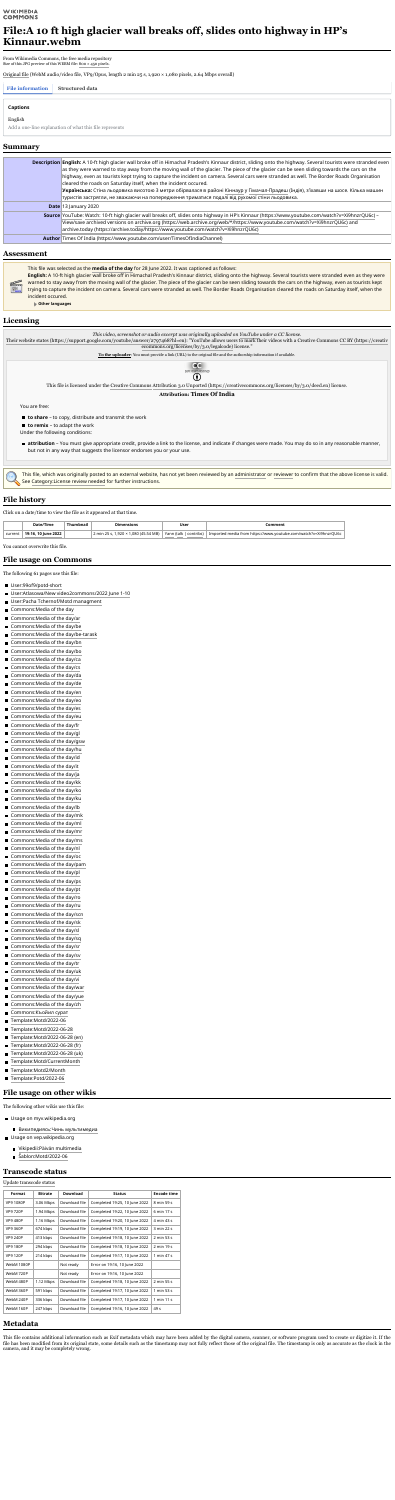#### **WIKIMEDIA COMMONS**

# **File:A 10 ft high glacier wall breaks off, slides onto highway in HP's Kinnaur.webm**

From Wikimedia Commons, the free media repository Size of this JPG preview of this WEBM file: 800 × 450 [pixels.](https://upload.wikimedia.org/wikipedia/commons/thumb/6/63/A_10_ft_high_glacier_wall_breaks_off%2C_slides_onto_highway_in_HP%E2%80%99s_Kinnaur.webm/800px--A_10_ft_high_glacier_wall_breaks_off%2C_slides_onto_highway_in_HP%E2%80%99s_Kinnaur.webm.jpg)

[Original](https://upload.wikimedia.org/wikipedia/commons/6/63/A_10_ft_high_glacier_wall_breaks_off%2C_slides_onto_highway_in_HP%E2%80%99s_Kinnaur.webm) file (WebM audio/video file, VP9/Opus, length 2 min 25 s, 1,920 × 1,080 pixels, 2.64 Mbps overall)

| <b>Description English:</b> A 10-ft high glacier wall broke off in Himachal Pradesh's Kinnaur district, sliding onto the highway. Several tourists were stranded even<br>as they were warned to stay away from the moving wall of the glacier. The piece of the glacier can be seen sliding towards the cars on the<br>highway, even as tourists kept trying to capture the incident on camera. Several cars were stranded as well. The Border Roads Organisation<br>cleared the roads on Saturday itself, when the incident occured.<br>Українська: Стіна льодовика висотою 3 метри обірвалася в районі Кіннаур у Гімачал-Прадеш (Індія), з'їхавши на шосе. Кілька машин<br>туристів застрягли, не зважаючи на попередження триматися подалі від рухомої стіни льодовика. |
|----------------------------------------------------------------------------------------------------------------------------------------------------------------------------------------------------------------------------------------------------------------------------------------------------------------------------------------------------------------------------------------------------------------------------------------------------------------------------------------------------------------------------------------------------------------------------------------------------------------------------------------------------------------------------------------------------------------------------------------------------------------------------|
| <b>Date 13 January 2020</b>                                                                                                                                                                                                                                                                                                                                                                                                                                                                                                                                                                                                                                                                                                                                                |
| <b>Source</b> YouTube: Watch: 10-ft high glacier wall breaks off, slides onto highway in HP's Kinnaur (https://www.youtube.com/watch?v=Xi9hnzrQU6c) –<br>View/save archived versions on archive.org (https://web.archive.org/web/*/https://www.youtube.com/watch?v=Xi9hnzrQU6c) and<br>archive.today (https://archive.today/https://www.youtube.com/watch?v=Xi9hnzrQU6c)                                                                                                                                                                                                                                                                                                                                                                                                   |
| <b>Author Times Of India (https://www.youtube.com/user/TimesOfIndiaChannel)</b>                                                                                                                                                                                                                                                                                                                                                                                                                                                                                                                                                                                                                                                                                            |

Their website states [\(https://support.google.com/youtube/answer/2797468?hl=en\):](https://support.google.com/youtube/answer/2797468?hl=en) "YouTube allows users to mark their videos with a Creative Commons CC BY (https://creativ [ecommons.org/licenses/by/3.0/legalcode\)](https://creativecommons.org/licenses/by/3.0/legalcode) license."

- **to share** to copy, distribute and transmit the work
- **to remix** to adapt the work

**attribution** – You must give appropriate credit, provide a link to the license, and indicate if changes were made. You may do so in any reasonable manner, but not in any way that suggests the licensor endorses you or your use.

This file was selected as the **[media](https://commons.wikimedia.org/wiki/Commons:Media_of_the_day) of the day** for 28 June 2022. It was captioned as follows: **English:** A 10-ft high glacier wall broke off in Himachal Pradesh's Kinnaur district, sliding onto the highway. Several tourists were stranded even as they were warned to stay away from the moving wall of the glacier. The piece of the glacier can be seen sliding towards the cars on the highway, even as tourists kept trying to capture the incident on camera. Several cars were stranded as well. The Border Roads Organisation cleared the roads on Saturday itself, when the incident occured.

**Other languages**

*This video, screenshot or audio excerpt was originally uploaded on [YouTube](https://en.wikipedia.org/wiki/YouTube) under a CC license.*

**To the uploader**: You must provide a link (URL) to the original file and the authorship information if available.



#### Œ

This file is licensed under the Creative [Commons](https://en.wikipedia.org/wiki/en:Creative_Commons) Attribution 3.0 Unported [\(https://creativecommons.org/licenses/by/3.0/deed.en\)](https://creativecommons.org/licenses/by/3.0/deed.en) license.

#### **Attribution: Times Of India**

You are free:

Under the following conditions:

This file, which was originally posted to an external website, has not yet been reviewed by an [administrator](https://commons.wikimedia.org/wiki/Commons:A) or [reviewer](https://commons.wikimedia.org/wiki/Commons:License_review#Reviewers) to confirm that the above license is valid. See [Category:License](https://commons.wikimedia.org/wiki/Category:License_review_needed) review needed for further instructions.

Click on a date/time to view the file as it appeared at that time.

|         | /Time<br>י הד          | $\bullet$ $\bullet$ | ensions <sup>•</sup><br>)ımı | User                     | <b>omment</b>                                                                                   |
|---------|------------------------|---------------------|------------------------------|--------------------------|-------------------------------------------------------------------------------------------------|
| current | 2022<br>19:16.<br>∶un⊾ |                     | MB<br>חר<br>. mir            | phtribs<br>rann<br>ttaik | <b>COLLEC</b><br>s com/watch?v=Xi9hnzrΟς<br>---<br>Impor<br>TAN.<br>$\sim$ $\sim$ $\sim$ $\sim$ |

You cannot overwrite this file.

The following 61 pages use this file:

- [User:99of9/potd-short](https://commons.wikimedia.org/wiki/User:99of9/potd-short)
- User:Atlasowa/New [video2commons/2022](https://commons.wikimedia.org/wiki/User:Atlasowa/New_video2commons/2022_June_1-10) June 1-10
- User:Pacha [Tchernof/Motd](https://commons.wikimedia.org/wiki/User:Pacha_Tchernof/Motd_managment) managment
- [Commons:Media](https://commons.wikimedia.org/wiki/Commons:Media_of_the_day) of the day
- [Commons:Media](https://commons.wikimedia.org/wiki/Commons:Media_of_the_day/ar) of the day/ar
- [Commons:Media](https://commons.wikimedia.org/wiki/Commons:Media_of_the_day/be) of the day/be
- [Commons:Media](https://commons.wikimedia.org/wiki/Commons:Media_of_the_day/be-tarask) of the day/be-tarask
- [Commons:Media](https://commons.wikimedia.org/wiki/Commons:Media_of_the_day/bn) of the day/bn
- [Commons:Media](https://commons.wikimedia.org/wiki/Commons:Media_of_the_day/bo) of the day/bo
- [Commons:Media](https://commons.wikimedia.org/wiki/Commons:Media_of_the_day/ca) of the day/ca
- [Commons:Media](https://commons.wikimedia.org/wiki/Commons:Media_of_the_day/cs) of the day/cs
- [Commons:Media](https://commons.wikimedia.org/wiki/Commons:Media_of_the_day/da) of the day/da
- [Commons:Media](https://commons.wikimedia.org/wiki/Commons:Media_of_the_day/de) of the day/de
- [Commons:Media](https://commons.wikimedia.org/wiki/Commons:Media_of_the_day/en) of the day/en
- [Commons:Media](https://commons.wikimedia.org/wiki/Commons:Media_of_the_day/eo) of the day/eo
- Commons: Media of the day/es
- Commons: Media of the day/eu
- [Commons:Media](https://commons.wikimedia.org/wiki/Commons:Media_of_the_day/fr) of the day/fr
- [Commons:Media](https://commons.wikimedia.org/wiki/Commons:Media_of_the_day/gl) of the day/gl
- [Commons:Media](https://commons.wikimedia.org/wiki/Commons:Media_of_the_day/gsw) of the day/gsw
- [Commons:Media](https://commons.wikimedia.org/wiki/Commons:Media_of_the_day/hu) of the day/hu
- [Commons:Media](https://commons.wikimedia.org/wiki/Commons:Media_of_the_day/id) of the day/id
- [Commons:Media](https://commons.wikimedia.org/wiki/Commons:Media_of_the_day/it) of the day/it
- [Commons:Media](https://commons.wikimedia.org/wiki/Commons:Media_of_the_day/ja) of the day/ja
- [Commons:Media](https://commons.wikimedia.org/wiki/Commons:Media_of_the_day/kk) of the day/kk
- [Commons:Media](https://commons.wikimedia.org/wiki/Commons:Media_of_the_day/ko) of the day/ko
- [Commons:Media](https://commons.wikimedia.org/wiki/Commons:Media_of_the_day/ku) of the day/ku
- [Commons:Media](https://commons.wikimedia.org/wiki/Commons:Media_of_the_day/lb) of the day/lb
- [Commons:Media](https://commons.wikimedia.org/wiki/Commons:Media_of_the_day/mk) of the day/mk
- Commons: Media of the day/ml
- [Commons:Media](https://commons.wikimedia.org/wiki/Commons:Media_of_the_day/mr) of the day/mr  $\blacksquare$
- [Commons:Media](https://commons.wikimedia.org/wiki/Commons:Media_of_the_day/ms) of the day/ms
- [Commons:Media](https://commons.wikimedia.org/wiki/Commons:Media_of_the_day/nl) of the day/nl
- [Commons:Media](https://commons.wikimedia.org/wiki/Commons:Media_of_the_day/oc) of the day/oc
- [Commons:Media](https://commons.wikimedia.org/wiki/Commons:Media_of_the_day/pam) of the day/pam
- [Commons:Media](https://commons.wikimedia.org/wiki/Commons:Media_of_the_day/pl) of the day/pl
- [Commons:Media](https://commons.wikimedia.org/wiki/Commons:Media_of_the_day/ps) of the day/ps
- [Commons:Media](https://commons.wikimedia.org/wiki/Commons:Media_of_the_day/pt) of the day/pt
- [Commons:Media](https://commons.wikimedia.org/wiki/Commons:Media_of_the_day/ro) of the day/ro
- [Commons:Media](https://commons.wikimedia.org/wiki/Commons:Media_of_the_day/ru) of the day/ru
- [Commons:Media](https://commons.wikimedia.org/wiki/Commons:Media_of_the_day/scn) of the day/scn
- [Commons:Media](https://commons.wikimedia.org/wiki/Commons:Media_of_the_day/sk) of the day/sk
- [Commons:Media](https://commons.wikimedia.org/wiki/Commons:Media_of_the_day/sl) of the day/sl
- [Commons:Media](https://commons.wikimedia.org/wiki/Commons:Media_of_the_day/sq) of the day/sq
- [Commons:Media](https://commons.wikimedia.org/wiki/Commons:Media_of_the_day/sr) of the day/sr
- [Commons:Media](https://commons.wikimedia.org/wiki/Commons:Media_of_the_day/sv) of the day/sv
- [Commons:Media](https://commons.wikimedia.org/wiki/Commons:Media_of_the_day/tr) of the day/tr
- [Commons:Media](https://commons.wikimedia.org/wiki/Commons:Media_of_the_day/uk) of the day/uk
- [Commons:Media](https://commons.wikimedia.org/wiki/Commons:Media_of_the_day/vi) of the day/vi
- [Commons:Media](https://commons.wikimedia.org/wiki/Commons:Media_of_the_day/war) of the day/war
- [Commons:Media](https://commons.wikimedia.org/wiki/Commons:Media_of_the_day/yue) of the day/yue
- [Commons:Media](https://commons.wikimedia.org/wiki/Commons:Media_of_the_day/zh) of the day/zh
- [Commons:Къойил](https://commons.wikimedia.org/wiki/Commons:%D0%9A%D1%8A%D0%BE%D0%B9%D0%B8%D0%BB_%D1%81%D1%83%D1%80%D0%B0%D1%82) сурат
- [Template:Motd/2022-06](https://commons.wikimedia.org/wiki/Template:Motd/2022-06)
- [Template:Motd/2022-06-28](https://commons.wikimedia.org/wiki/Template:Motd/2022-06-28)
- [Template:Motd/2022-06-28](https://commons.wikimedia.org/wiki/Template:Motd/2022-06-28_(en)) (en)
- [Template:Motd/2022-06-28](https://commons.wikimedia.org/wiki/Template:Motd/2022-06-28_(fr)) (fr)
- [Template:Motd/2022-06-28](https://commons.wikimedia.org/wiki/Template:Motd/2022-06-28_(uk)) (uk)
- [Template:Motd/CurrentMonth](https://commons.wikimedia.org/wiki/Template:Motd/CurrentMonth)
- [Template:Motd2/Month](https://commons.wikimedia.org/wiki/Template:Motd2/Month)
- [Template:Potd/2022-06](https://commons.wikimedia.org/wiki/Template:Potd/2022-06)

| File information Structured data |                                                         |
|----------------------------------|---------------------------------------------------------|
|                                  |                                                         |
| <b>Captions</b>                  |                                                         |
| English                          | Add a one-line explanation of what this file represents |

The following other wikis use this file:

- Usage on myv.wikipedia.org
	- [Википедиясь:Чинь](https://myv.wikipedia.org/wiki/%D0%92%D0%B8%D0%BA%D0%B8%D0%BF%D0%B5%D0%B4%D0%B8%D1%8F%D1%81%D1%8C:%D0%A7%D0%B8%D0%BD%D1%8C_%D0%BC%D1%83%D0%BB%D1%8C%D1%82%D0%B8%D0%BC%D0%B5%D0%B4%D0%B8%D0%B0) мультимедиа
- Usage on vep.wikipedia.org
	- [Vikipedii:Päivän](https://vep.wikipedia.org/wiki/Vikipedii:P%C3%A4iv%C3%A4n_multimedia) multimedia
	- [Šablon:Motd/2022-06](https://vep.wikipedia.org/wiki/%C5%A0ablon:Motd/2022-06)  $\blacksquare$

Update [transcode](https://commons.wikimedia.org/w/index.php?title=File:A_10_ft_high_glacier_wall_breaks_off,_slides_onto_highway_in_HP%E2%80%99s_Kinnaur.webm&action=purge) status

| <b>Format</b>     | <b>Bitrate</b> | <b>Download</b> | <b>Status</b>                 | <b>Encode time</b> |
|-------------------|----------------|-----------------|-------------------------------|--------------------|
| <b>VP9 1080P</b>  | 3.06 Mbps      | Download file   | Completed 19:25, 10 June 2022 | 8 min 59 s         |
| <b>VP9 720P</b>   | 1.94 Mbps      | Download file   | Completed 19:22, 10 June 2022 | 6 min 17 s         |
| <b>VP9 480P</b>   | 1.16 Mbps      | Download file   | Completed 19:20, 10 June 2022 | 4 min 43 s         |
| <b>VP9 360P</b>   | 674 kbps       | Download file   | Completed 19:19, 10 June 2022 | 3 min 22 s         |
| <b>VP9 240P</b>   | 413 kbps       | Download file   | Completed 19:18, 10 June 2022 | 2 min 53 s         |
| <b>VP9 180P</b>   | 294 kbps       | Download file   | Completed 19:18, 10 June 2022 | 2 min 19 s         |
| <b>VP9 120P</b>   | 214 kbps       | Download file   | Completed 19:17, 10 June 2022 | 1 min 47 s         |
| <b>WebM 1080P</b> |                | Not ready       | Error on 19:16, 10 June 2022  |                    |
| WebM 720P         |                | Not ready       | Error on 19:16, 10 June 2022  |                    |
| WebM 480P         | 1.12 Mbps      | Download file   | Completed 19:18, 10 June 2022 | 2 min 55 s         |
| WebM 360P         | 591 kbps       | Download file   | Completed 19:17, 10 June 2022 | 1 min 53 s         |
| WebM 240P         | 336 kbps       | Download file   | Completed 19:17, 10 June 2022 | 1 min 11 s         |
| WebM 160P         | 247 kbps       | Download file   | Completed 19:16, 10 June 2022 | 49 s               |

This file contains additional information such as Exif metadata which may have been added by the digital camera, scanner, or software program used to create or digitize it. If the file has been modified from its original state, some details such as the timestamp may not fully reflect those of the original file. The timestamp is only as accurate as the clock in the camera, and it may be completely wrong.

### **Summary**

### **Assessment**

# **Licensing**

### **File history**

### **File usage on Commons**

# **File usage on other wikis**

### **Transcode status**

# **Metadata**